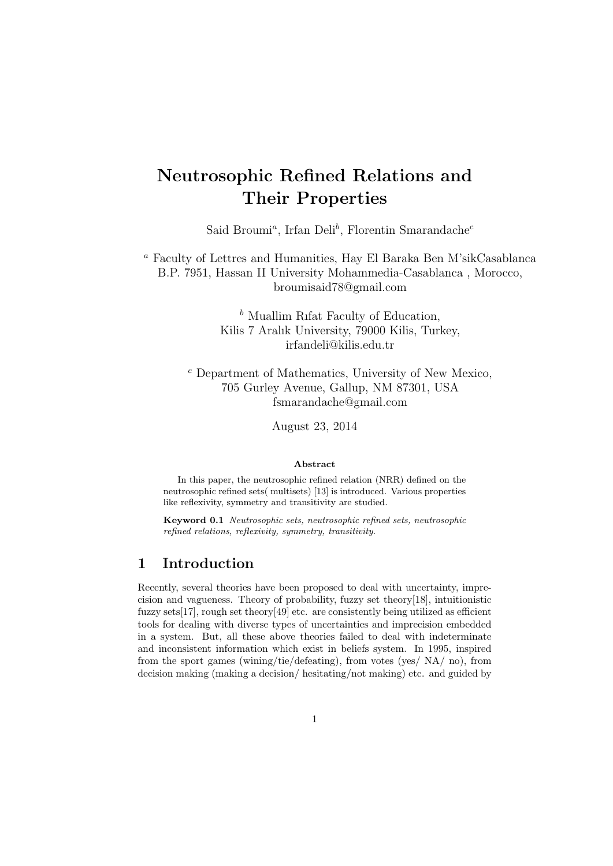# Neutrosophic Refined Relations and Their Properties

Said Broumi<sup>a</sup>, Irfan Deli<sup>b</sup>, Florentin Smarandache<sup>c</sup>

<sup>a</sup> Faculty of Lettres and Humanities, Hay El Baraka Ben M'sikCasablanca B.P. 7951, Hassan II University Mohammedia-Casablanca , Morocco, broumisaid78@gmail.com

> $<sup>b</sup>$  Muallim Rifat Faculty of Education,</sup> Kilis 7 Aralık University, 79000 Kilis, Turkey, irfandeli@kilis.edu.tr

<sup>c</sup> Department of Mathematics, University of New Mexico, 705 Gurley Avenue, Gallup, NM 87301, USA fsmarandache@gmail.com

August 23, 2014

#### Abstract

In this paper, the neutrosophic refined relation (NRR) defined on the neutrosophic refined sets( multisets) [13] is introduced. Various properties like reflexivity, symmetry and transitivity are studied.

Keyword 0.1 Neutrosophic sets, neutrosophic refined sets, neutrosophic refined relations, reflexivity, symmetry, transitivity.

## 1 Introduction

Recently, several theories have been proposed to deal with uncertainty, imprecision and vagueness. Theory of probability, fuzzy set theory[18], intuitionistic fuzzy sets[17], rough set theory[49] etc. are consistently being utilized as efficient tools for dealing with diverse types of uncertainties and imprecision embedded in a system. But, all these above theories failed to deal with indeterminate and inconsistent information which exist in beliefs system. In 1995, inspired from the sport games (wining/tie/defeating), from votes (yes/ NA/ no), from decision making (making a decision/ hesitating/not making) etc. and guided by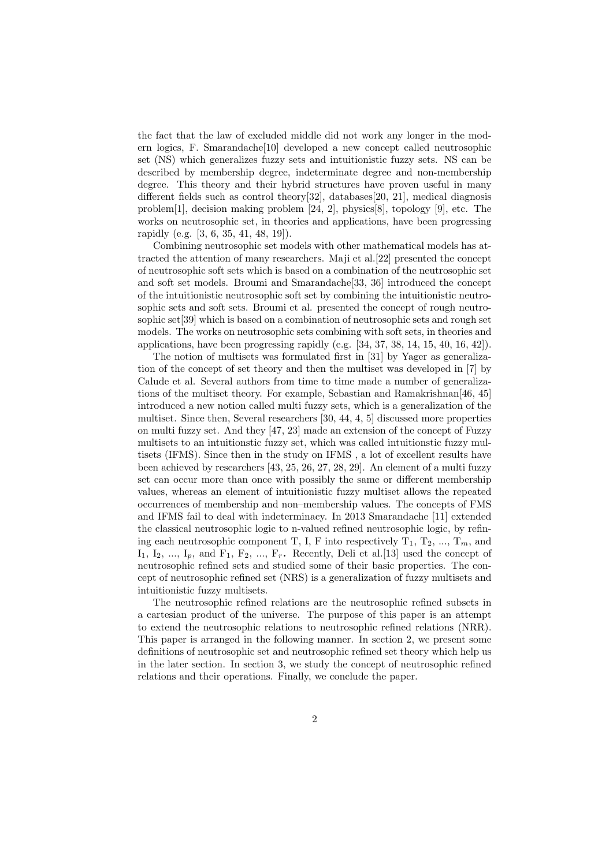the fact that the law of excluded middle did not work any longer in the modern logics, F. Smarandache[10] developed a new concept called neutrosophic set (NS) which generalizes fuzzy sets and intuitionistic fuzzy sets. NS can be described by membership degree, indeterminate degree and non-membership degree. This theory and their hybrid structures have proven useful in many different fields such as control theory[32], databases[20, 21], medical diagnosis problem[1], decision making problem [24, 2], physics[8], topology [9], etc. The works on neutrosophic set, in theories and applications, have been progressing rapidly (e.g. [3, 6, 35, 41, 48, 19]).

Combining neutrosophic set models with other mathematical models has attracted the attention of many researchers. Maji et al.[22] presented the concept of neutrosophic soft sets which is based on a combination of the neutrosophic set and soft set models. Broumi and Smarandache[33, 36] introduced the concept of the intuitionistic neutrosophic soft set by combining the intuitionistic neutrosophic sets and soft sets. Broumi et al. presented the concept of rough neutrosophic set[39] which is based on a combination of neutrosophic sets and rough set models. The works on neutrosophic sets combining with soft sets, in theories and applications, have been progressing rapidly (e.g. [34, 37, 38, 14, 15, 40, 16, 42]).

The notion of multisets was formulated first in [31] by Yager as generalization of the concept of set theory and then the multiset was developed in [7] by Calude et al. Several authors from time to time made a number of generalizations of the multiset theory. For example, Sebastian and Ramakrishnan[46, 45] introduced a new notion called multi fuzzy sets, which is a generalization of the multiset. Since then, Several researchers [30, 44, 4, 5] discussed more properties on multi fuzzy set. And they [47, 23] made an extension of the concept of Fuzzy multisets to an intuitionstic fuzzy set, which was called intuitionstic fuzzy multisets (IFMS). Since then in the study on IFMS , a lot of excellent results have been achieved by researchers [43, 25, 26, 27, 28, 29]. An element of a multi fuzzy set can occur more than once with possibly the same or different membership values, whereas an element of intuitionistic fuzzy multiset allows the repeated occurrences of membership and non–membership values. The concepts of FMS and IFMS fail to deal with indeterminacy. In 2013 Smarandache [11] extended the classical neutrosophic logic to n-valued refined neutrosophic logic, by refining each neutrosophic component T, I, F into respectively  $T_1, T_2, ..., T_m$ , and  $I_1, I_2, ..., I_p$ , and  $F_1, F_2, ..., F_r$ . Recently, Deli et al. [13] used the concept of neutrosophic refined sets and studied some of their basic properties. The concept of neutrosophic refined set (NRS) is a generalization of fuzzy multisets and intuitionistic fuzzy multisets.

The neutrosophic refined relations are the neutrosophic refined subsets in a cartesian product of the universe. The purpose of this paper is an attempt to extend the neutrosophic relations to neutrosophic refined relations (NRR). This paper is arranged in the following manner. In section 2, we present some definitions of neutrosophic set and neutrosophic refined set theory which help us in the later section. In section 3, we study the concept of neutrosophic refined relations and their operations. Finally, we conclude the paper.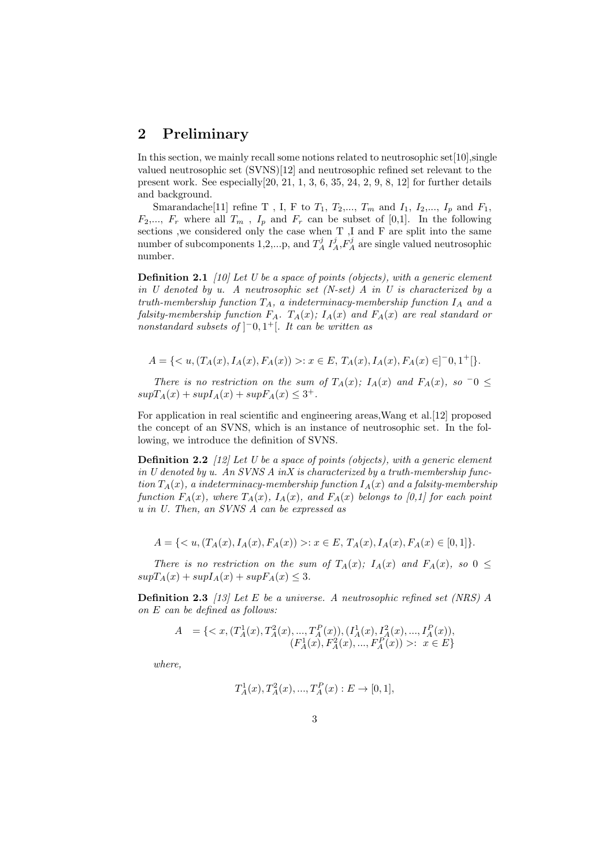## 2 Preliminary

In this section, we mainly recall some notions related to neutrosophic set $[10]$ , single valued neutrosophic set (SVNS)[12] and neutrosophic refined set relevant to the present work. See especially[20, 21, 1, 3, 6, 35, 24, 2, 9, 8, 12] for further details and background.

Smarandache[11] refine T , I, F to  $T_1, \, T_2, \ldots, \, T_m$  and  $I_1, \, I_2, \ldots, \, I_p$  and  $F_1,$  $F_2,..., F_r$  where all  $T_m$ ,  $I_p$  and  $F_r$  can be subset of [0,1]. In the following sections ,we considered only the case when T ,I and F are split into the same number of subcomponents 1,2,...p, and  $T_A^j$   $I_A^j$ ,  $F_A^j$  are single valued neutrosophic number.

**Definition 2.1** [10] Let U be a space of points (objects), with a generic element in U denoted by u. A neutrosophic set  $(N\text{-}set)$  A in U is characterized by a truth-membership function  $T_A$ , a indeterminacy-membership function  $I_A$  and a falsity-membership function  $F_A$ .  $T_A(x)$ ;  $I_A(x)$  and  $F_A(x)$  are real standard or nonstandard subsets of  $\vert$ <sup>-</sup>0,1<sup>+</sup>[. It can be written as

$$
A = \{ \langle u, (T_A(x), I_A(x), F_A(x)) \rangle : x \in E, T_A(x), I_A(x), F_A(x) \in ]-0,1^+[\}.
$$

There is no restriction on the sum of  $T_A(x)$ ;  $I_A(x)$  and  $F_A(x)$ , so  $\overline{\phantom{a}}0 \leq$  $supT_A(x) + supI_A(x) + supF_A(x) \leq 3^+$ .

For application in real scientific and engineering areas,Wang et al.[12] proposed the concept of an SVNS, which is an instance of neutrosophic set. In the following, we introduce the definition of SVNS.

**Definition 2.2** [12] Let U be a space of points (objects), with a generic element in U denoted by u. An SVNS A in X is characterized by a truth-membership function  $T_A(x)$ , a indeterminacy-membership function  $I_A(x)$  and a falsity-membership function  $F_A(x)$ , where  $T_A(x)$ ,  $I_A(x)$ , and  $F_A(x)$  belongs to [0,1] for each point u in U. Then, an SVNS A can be expressed as

$$
A = \{ \langle u, (T_A(x), I_A(x), F_A(x)) \rangle : x \in E, T_A(x), I_A(x), F_A(x) \in [0, 1] \}.
$$

There is no restriction on the sum of  $T_A(x)$ ;  $I_A(x)$  and  $F_A(x)$ , so  $0 \leq$  $supT_A(x) + supI_A(x) + supF_A(x) \leq 3.$ 

**Definition 2.3** [13] Let E be a universe. A neutrosophic refined set (NRS) A on E can be defined as follows:

$$
A = \{ \langle x, (T_A^1(x), T_A^2(x), ..., T_A^P(x)), (I_A^1(x), I_A^2(x), ..., I_A^P(x)), (F_A^1(x), F_A^2(x), ..., F_A^P(x)) \rangle : x \in E \}
$$

where,

$$
T_A^1(x), T_A^2(x), ..., T_A^P(x) : E \to [0, 1],
$$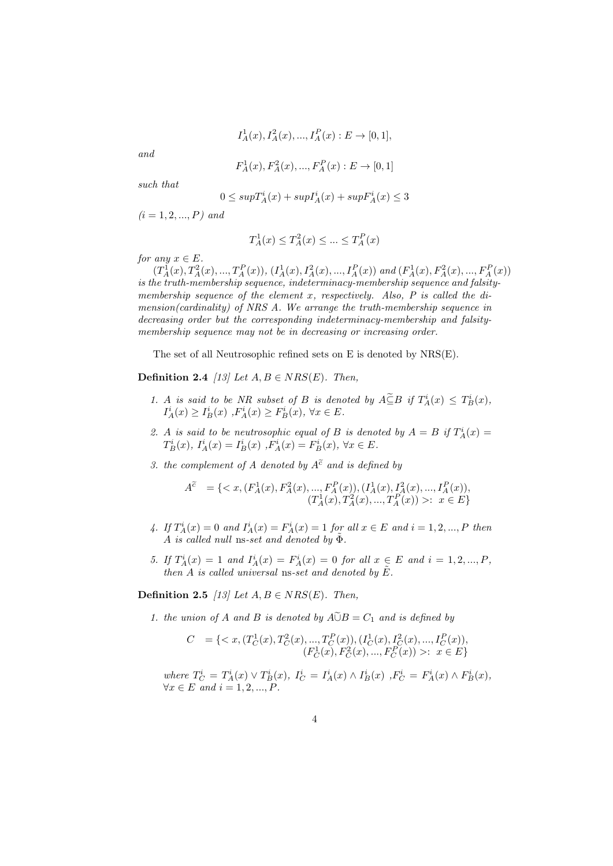$$
I_A^1(x), I_A^2(x), \dots, I_A^P(x) : E \to [0, 1],
$$

and

$$
F_A^1(x), F_A^2(x), ..., F_A^P(x) : E \to [0,1]
$$

such that

$$
0 \leq supT_A^i(x) + supI_A^i(x) + supF_A^i(x) \leq 3
$$

 $(i = 1, 2, ..., P)$  and

$$
T_A^1(x) \le T_A^2(x) \le \dots \le T_A^P(x)
$$

for any  $x \in E$ .

 $(T_A^1(x), T_A^2(x),..., T_A^P(x)), (I_A^1(x), I_A^2(x),..., I_A^P(x))$  and  $(F_A^1(x), F_A^2(x),..., F_A^P(x))$ is the truth-membership sequence, indeterminacy-membership sequence and falsitymembership sequence of the element  $x$ , respectively. Also,  $P$  is called the dimension(cardinality) of NRS A. We arrange the truth-membership sequence in decreasing order but the corresponding indeterminacy-membership and falsitymembership sequence may not be in decreasing or increasing order.

The set of all Neutrosophic refined sets on E is denoted by NRS(E).

Definition 2.4 [13] Let  $A, B \in NRS(E)$ . Then,

- 1. A is said to be NR subset of B is denoted by  $A \subseteq B$  if  $T_A^i(x) \leq T_B^i(x)$ ,  $I_A^i(x) \ge I_B^i(x) , F_A^i(x) \ge F_B^i(x), \forall x \in E.$
- 2. A is said to be neutrosophic equal of B is denoted by  $A = B$  if  $T_A^i(x) =$  $T_B^i(x)$ ,  $I_A^i(x) = I_B^i(x)$ ,  $F_A^i(x) = F_B^i(x)$ ,  $\forall x \in E$ .
- 3. the complement of A denoted by  $A^{\tilde{c}}$  and is defined by

$$
A^{\tilde{c}} = \{: x \in E\}
$$

- 4. If  $T_A^i(x) = 0$  and  $I_A^i(x) = F_A^i(x) = 1$  for all  $x \in E$  and  $i = 1, 2, ..., P$  then A is called null ns-set and denoted by  $\tilde{\Phi}$ .
- 5. If  $T_A^i(x) = 1$  and  $I_A^i(x) = F_A^i(x) = 0$  for all  $x \in E$  and  $i = 1, 2, ..., P$ , then A is called universal ns-set and denoted by  $\tilde{E}$ .

Definition 2.5 [13] Let  $A, B \in NRS(E)$ . Then,

1. the union of A and B is denoted by  $A\tilde{\cup}B=C_1$  and is defined by

$$
C = \{ \langle x, (T_C^1(x), T_C^2(x), ..., T_C^P(x)), (I_C^1(x), I_C^2(x), ..., I_C^P(x)), (F_C^1(x), F_C^2(x), ..., F_C^P(x)) \rangle : x \in E \}
$$

where  $T_C^i = T_A^i(x) \vee T_B^i(x)$ ,  $I_C^i = I_A^i(x) \wedge I_B^i(x)$ ,  $F_C^i = F_A^i(x) \wedge F_B^i(x)$ ,  $\forall x \in E$  and  $i = 1, 2, ..., P$ .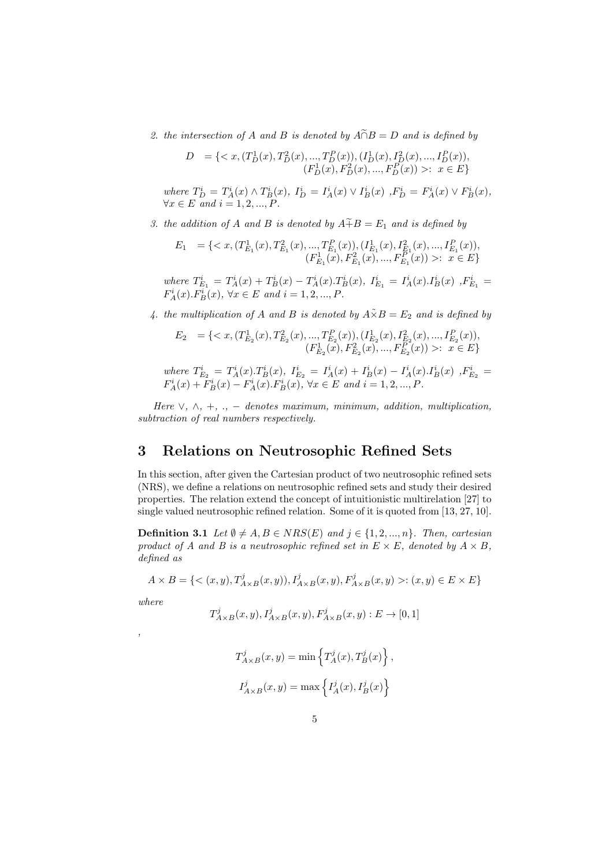2. the intersection of A and B is denoted by  $\widehat{A \cap B} = D$  and is defined by

$$
D = \{ \langle x, (T_D^1(x), T_D^2(x), ..., T_D^P(x)), (I_D^1(x), I_D^2(x), ..., I_D^P(x)), (F_D^1(x), F_D^2(x), ..., F_D^P(x)) \rangle : x \in E \}
$$

where  $T_D^i = T_A^i(x) \wedge T_B^i(x)$ ,  $I_D^i = I_A^i(x) \vee I_B^i(x)$ ,  $F_D^i = F_A^i(x) \vee F_B^i(x)$ ,  $\forall x \in E$  and  $i = 1, 2, ..., P$ .

3. the addition of A and B is denoted by  $A + B = E_1$  and is defined by

$$
E_1 = \{ \langle x, (T_{E_1}^1(x), T_{E_1}^2(x), ..., T_{E_1}^P(x)), (I_{E_1}^1(x), I_{E_1}^2(x), ..., I_{E_1}^P(x)), (F_{E_1}^1(x), F_{E_1}^2(x), ..., F_{E_1}^P(x)) \rangle : x \in E \}
$$

where  $T_{E_1}^i = T_A^i(x) + T_B^i(x) - T_A^i(x) \cdot T_B^i(x), I_{E_1}^i = I_A^i(x) \cdot I_B^i(x)$ ,  $F_{E_1}^i =$  $F_A^i(x) \cdot F_B^i(x)$ ,  $\forall x \in E$  and  $i = 1, 2, ..., P$ .

4. the multiplication of A and B is denoted by  $A\tilde{\times}B=E_2$  and is defined by

$$
E_2 = \{ \langle x, (T_{E_2}^1(x), T_{E_2}^2(x), ..., T_{E_2}^P(x)), (I_{E_2}^1(x), I_{E_2}^2(x), ..., I_{E_2}^P(x)), (F_{E_2}^1(x), F_{E_2}^2(x), ..., F_{E_2}^P(x)) \rangle : x \in E \}
$$

where 
$$
T_{E_2}^i = T_A^i(x) \cdot T_B^i(x)
$$
,  $I_{E_2}^i = I_A^i(x) + I_B^i(x) - I_A^i(x) \cdot I_B^i(x)$ ,  $F_{E_2}^i = F_A^i(x) + F_B^i(x) - F_A^i(x) \cdot F_B^i(x)$ ,  $\forall x \in E$  and  $i = 1, 2, ..., P$ .

Here  $\vee$ ,  $\wedge$ ,  $+$ , .,  $-$  denotes maximum, minimum, addition, multiplication, subtraction of real numbers respectively.

## 3 Relations on Neutrosophic Refined Sets

In this section, after given the Cartesian product of two neutrosophic refined sets (NRS), we define a relations on neutrosophic refined sets and study their desired properties. The relation extend the concept of intuitionistic multirelation [27] to single valued neutrosophic refined relation. Some of it is quoted from [13, 27, 10].

**Definition 3.1** Let  $\emptyset \neq A, B \in NRS(E)$  and  $j \in \{1, 2, ..., n\}$ . Then, cartesian product of A and B is a neutrosophic refined set in  $E \times E$ , denoted by  $A \times B$ , defined as

$$
A \times B = \{ \langle (x, y), T_{A \times B}^{j}(x, y)), I_{A \times B}^{j}(x, y), F_{A \times B}^{j}(x, y) \rangle : (x, y) \in E \times E \}
$$

where

$$
T_{A\times B}^j(x,y), I_{A\times B}^j(x,y), F_{A\times B}^j(x,y): E\to [0,1]
$$

$$
\mathbf{,}
$$

$$
T_{A\times B}^j(x,y) = \min\left\{T_A^j(x), T_B^j(x)\right\},\,
$$
  

$$
I_{A\times B}^j(x,y) = \max\left\{I_A^j(x), I_B^j(x)\right\}
$$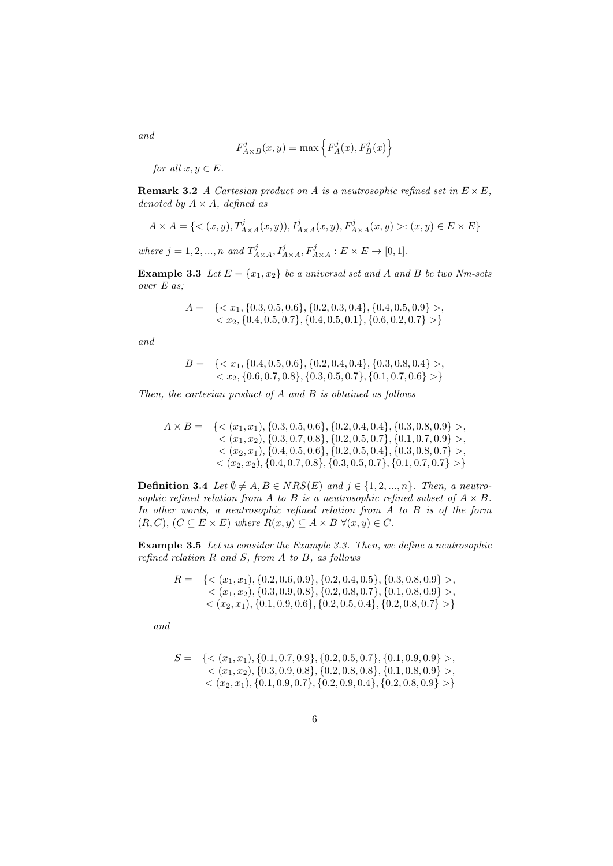$$
F^j_{A\times B}(x,y)=\max\left\{F^j_A(x),F^j_B(x)\right\}
$$

for all  $x, y \in E$ .

**Remark 3.2** A Cartesian product on A is a neutrosophic refined set in  $E \times E$ , denoted by  $A \times A$ , defined as

$$
A\times A=\{<(x,y),T_{A\times A}^j(x,y)),I_{A\times A}^j(x,y),F_{A\times A}^j(x,y)>:(x,y)\in E\times E\}
$$

where  $j = 1, 2, ..., n$  and  $T_{A \times A}^{j}$ ,  $I_{A \times A}^{j}$ ,  $F_{A \times A}^{j}$  :  $E \times E \rightarrow [0, 1]$ .

**Example 3.3** Let  $E = \{x_1, x_2\}$  be a universal set and A and B be two Nm-sets over E as;

$$
A = \{, \}
$$

and

$$
B = \{, \}
$$

Then, the cartesian product of  $A$  and  $B$  is obtained as follows

$$
A \times B = \{ \langle (x_1, x_1), \{0.3, 0.5, 0.6\}, \{0.2, 0.4, 0.4\}, \{0.3, 0.8, 0.9\} \rangle, \\ \langle (x_1, x_2), \{0.3, 0.7, 0.8\}, \{0.2, 0.5, 0.7\}, \{0.1, 0.7, 0.9\} \rangle, \\ \langle (x_2, x_1), \{0.4, 0.5, 0.6\}, \{0.2, 0.5, 0.4\}, \{0.3, 0.8, 0.7\} \rangle, \\ \langle (x_2, x_2), \{0.4, 0.7, 0.8\}, \{0.3, 0.5, 0.7\}, \{0.1, 0.7, 0.7\} \rangle \}
$$

**Definition 3.4** Let  $\emptyset \neq A, B \in NRS(E)$  and  $j \in \{1, 2, ..., n\}$ . Then, a neutrosophic refined relation from A to B is a neutrosophic refined subset of  $A \times B$ . In other words, a neutrosophic refined relation from A to B is of the form  $(R, C), (C \subseteq E \times E)$  where  $R(x, y) \subseteq A \times B \ \forall (x, y) \in C$ .

Example 3.5 Let us consider the Example 3.3. Then, we define a neutrosophic refined relation  $R$  and  $S$ , from  $A$  to  $B$ , as follows

$$
R = \{<(x_1, x_1), (0.2, 0.6, 0.9), (0.2, 0.4, 0.5), (0.3, 0.8, 0.9)>,(x_1, x_2), (0.3, 0.9, 0.8), (0.2, 0.8, 0.7), (0.1, 0.8, 0.9)>,(x_2, x_1), (0.1, 0.9, 0.6), (0.2, 0.5, 0.4), (0.2, 0.8, 0.7)>\}
$$

and

$$
S = \{<(x_1, x_1), \{0.1, 0.7, 0.9\}, \{0.2, 0.5, 0.7\}, \{0.1, 0.9, 0.9\}>,(x_1, x_2), \{0.3, 0.9, 0.8\}, \{0.2, 0.8, 0.8\}, \{0.1, 0.8, 0.9\}>,(x_2, x_1), \{0.1, 0.9, 0.7\}, \{0.2, 0.9, 0.4\}, \{0.2, 0.8, 0.9\}> \}
$$

6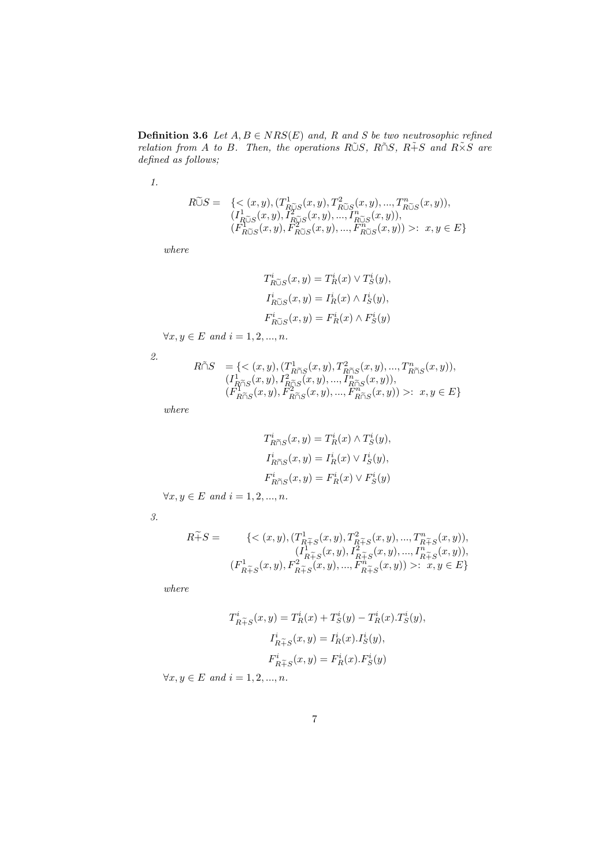**Definition 3.6** Let  $A, B \in NRS(E)$  and, R and S be two neutrosophic refined relation from A to B. Then, the operations RUS, R $\tilde{\cap}S$ , R $\tilde{+}S$  and  $R\tilde{\times}S$  are defined as follows;

1.

$$
R\widetilde{\cup}S = \{ \langle (x,y), (T^1_{R\widetilde{\cup}S}(x,y), T^2_{R\widetilde{\cup}S}(x,y), ..., T^n_{R\widetilde{\cup}S}(x,y)), \\ (I^1_{R\widetilde{\cup}S}(x,y), I^2_{R\widetilde{\cup}S}(x,y), ..., I^n_{R\widetilde{\cup}S}(x,y)), \\ (F^1_{R\widetilde{\cup}S}(x,y), F^2_{R\widetilde{\cup}S}(x,y), ..., F^n_{R\widetilde{\cup}S}(x,y)) \rangle : \ x, y \in E \}
$$

where

$$
T_{R\tilde{\cup}S}^i(x, y) = T_R^i(x) \vee T_S^i(y),
$$
  
\n
$$
I_{R\tilde{\cup}S}^i(x, y) = I_R^i(x) \wedge I_S^i(y),
$$
  
\n
$$
F_{R\tilde{\cup}S}^i(x, y) = F_R^i(x) \wedge F_S^i(y)
$$

 $\forall x, y \in E \text{ and } i = 1, 2, ..., n.$ 

2.

$$
\begin{array}{ll} R\tilde{\cap}S&=\{<(x,y),(T_{R\tilde{\cap}S}^{1}(x,y),T_{R\tilde{\cap}S}^{2}(x,y),...,T_{R\tilde{\cap}S}^{n}(x,y)),\\(I_{R\tilde{\cap}S}^{1}(x,y),I_{R\tilde{\cap}S}^{2}(x,y),...,I_{R\tilde{\cap}S}^{n}(x,y)),\\(F_{R\tilde{\cap}S}^{1}(x,y),F_{R\tilde{\cap}S}^{2}(x,y),...,F_{R\tilde{\cap}S}^{n}(x,y))>:&x,y\in E\}\end{array}
$$

where

$$
T_{R\widetilde{\cap}S}^i(x, y) = T_R^i(x) \wedge T_S^i(y),
$$
  
\n
$$
I_{R\widetilde{\cap}S}^i(x, y) = I_R^i(x) \vee I_S^i(y),
$$
  
\n
$$
F_{R\widetilde{\cap}S}^i(x, y) = F_R^i(x) \vee F_S^i(y)
$$

 $\forall x, y \in E \text{ and } i = 1, 2, ..., n.$ 

3.

$$
\begin{aligned} R\widetilde{+}S = & \{< (x,y),(T_{R\widetilde{+}S}^1(x,y),T_{R\widetilde{+}S}^2(x,y),...,T_{R\widetilde{+}S}^n(x,y)),\\ & (I_{R\widetilde{+}S}^1(x,y),I_{R\widetilde{+}S}^2(x,y),...,I_{R\widetilde{+}S}^n(x,y)),\\ & (F_{R\widetilde{+}S}^1(x,y),F_{R\widetilde{+}S}^2(x,y),...,F_{R\widetilde{+}S}^n(x,y)) >: \ x,y\in E\} \end{aligned}
$$

where

$$
T_{R+S}^i(x, y) = T_R^i(x) + T_S^i(y) - T_R^i(x).T_S^i(y),
$$
  
\n
$$
I_{R+S}^i(x, y) = I_R^i(x).I_S^i(y),
$$
  
\n
$$
F_{R+S}^i(x, y) = F_R^i(x).F_S^i(y)
$$

 $\forall x, y \in E \text{ and } i = 1, 2, ..., n.$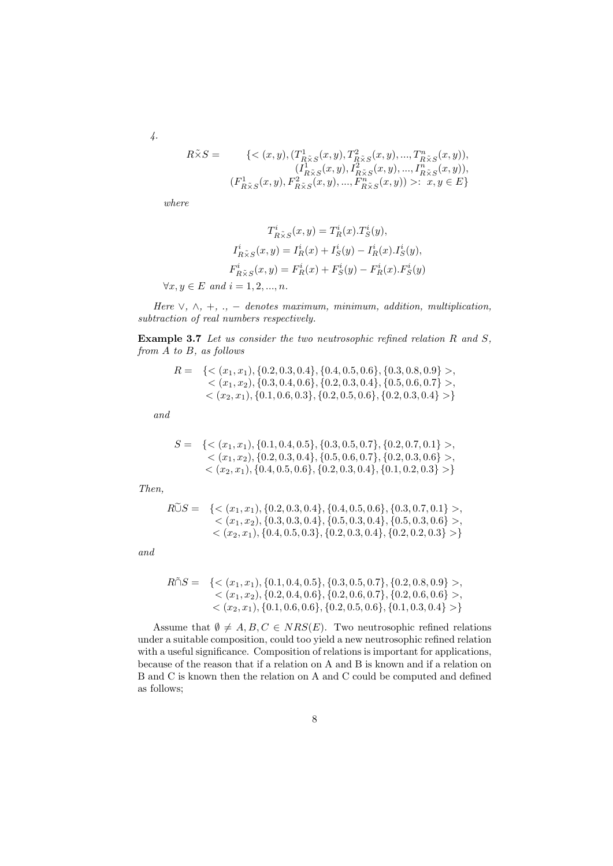$$
\mathcal{L}.
$$

$$
R\tilde{\times}S = \{ \langle (x,y), (T^1_{R\tilde{\times}S}(x,y), T^2_{R\tilde{\times}S}(x,y), ..., T^n_{R\tilde{\times}S}(x,y)) \rangle, \newline (I^1_{R\tilde{\times}S}(x,y), I^2_{R\tilde{\times}S}(x,y), ..., I^n_{R\tilde{\times}S}(x,y)) \rangle, \newline (F^1_{R\tilde{\times}S}(x,y), F^2_{R\tilde{\times}S}(x,y), ..., F^n_{R\tilde{\times}S}(x,y)) \rangle : \ x, y \in E \}
$$

where

$$
T^i_{R\tilde{\times}S}(x,y)=T^i_R(x).T^i_S(y),
$$
  

$$
I^i_{R\tilde{\times}S}(x,y)=I^i_R(x)+I^i_S(y)-I^i_R(x).I^i_S(y),
$$
  

$$
F^i_{R\tilde{\times}S}(x,y)=F^i_R(x)+F^i_S(y)-F^i_R(x).F^i_S(y)
$$
  

$$
\forall x,y\in E \ and \ i=1,2,...,n.
$$

Here  $\vee$ ,  $\wedge$ , +, ., - denotes maximum, minimum, addition, multiplication, subtraction of real numbers respectively.

**Example 3.7** Let us consider the two neutrosophic refined relation  $R$  and  $S$ , from A to B, as follows

$$
R = \{<(x_1, x_1), (0.2, 0.3, 0.4), (0.4, 0.5, 0.6), (0.3, 0.8, 0.9)>,(x_1, x_2), (0.3, 0.4, 0.6), (0.2, 0.3, 0.4), (0.5, 0.6, 0.7)>,(x_2, x_1), (0.1, 0.6, 0.3), (0.2, 0.5, 0.6), (0.2, 0.3, 0.4)>\}
$$

and

$$
S = \{<(x_1, x_1), \{0.1, 0.4, 0.5\}, \{0.3, 0.5, 0.7\}, \{0.2, 0.7, 0.1\}>,(x_1, x_2), \{0.2, 0.3, 0.4\}, \{0.5, 0.6, 0.7\}, \{0.2, 0.3, 0.6\}>,(x_2, x_1), \{0.4, 0.5, 0.6\}, \{0.2, 0.3, 0.4\}, \{0.1, 0.2, 0.3\}> \}
$$

Then,

$$
R\tilde{\cup}S = \{<(x_1,x_1),\{0.2,0.3,0.4\},\{0.4,0.5,0.6\},\{0.3,0.7,0.1\}>,(x_1,x_2),\{0.3,0.3,0.4\},\{0.5,0.3,0.4\},\{0.5,0.3,0.6\}>,(x_2,x_1),\{0.4,0.5,0.3\},\{0.2,0.3,0.4\},\{0.2,0.2,0.3\}> \}
$$

and

$$
R\tilde{\cap}S = \{<(x_1,x_1),\{0.1,0.4,0.5\},\{0.3,0.5,0.7\},\{0.2,0.8,0.9\}>,(x_1,x_2),\{0.2,0.4,0.6\},\{0.2,0.6,0.7\},\{0.2,0.6,0.6\}>,(x_2,x_1),\{0.1,0.6,0.6\},\{0.2,0.5,0.6\},\{0.1,0.3,0.4\}> \}
$$

Assume that  $\emptyset \neq A, B, C \in NRS(E)$ . Two neutrosophic refined relations under a suitable composition, could too yield a new neutrosophic refined relation with a useful significance. Composition of relations is important for applications, because of the reason that if a relation on A and B is known and if a relation on B and C is known then the relation on A and C could be computed and defined as follows;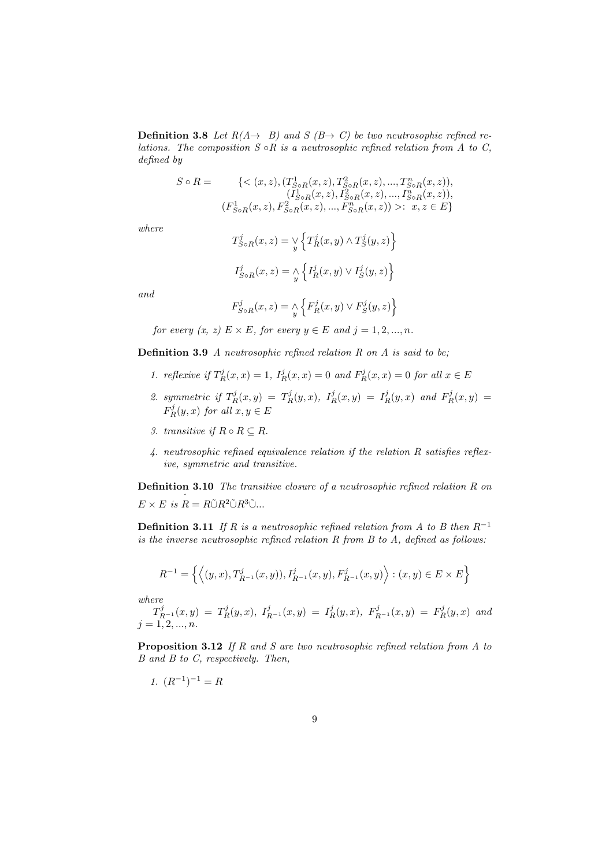**Definition 3.8** Let  $R(A \rightarrow B)$  and  $S(B \rightarrow C)$  be two neutrosophic refined relations. The composition  $S \circ R$  is a neutrosophic refined relation from  $A$  to  $C$ , defined by

$$
S \circ R = \{ \langle (x, z), (T_{S \circ R}^1(x, z), T_{S \circ R}^2(x, z), ..., T_{S \circ R}^n(x, z)), (I_{S \circ R}^1(x, z), I_{S \circ R}^2(x, z), ..., I_{S \circ R}^n(x, z)), (F_{S \circ R}^1(x, z), F_{S \circ R}^2(x, z), ..., F_{S \circ R}^n(x, z)) \rangle : x, z \in E \}
$$

where

$$
T_{S \circ R}^{j}(x, z) = \mathop{\vee}_{y} \left\{ T_{R}^{j}(x, y) \land T_{S}^{j}(y, z) \right\}
$$

$$
I_{S \circ R}^{j}(x, z) = \mathop{\wedge}_{y} \left\{ I_{R}^{j}(x, y) \lor I_{S}^{j}(y, z) \right\}
$$

and

$$
F_{S \circ R}^{j}(x, z) = \underset{y}{\wedge} \left\{ F_{R}^{j}(x, y) \vee F_{S}^{j}(y, z) \right\}
$$

for every  $(x, z) \to \times E$ , for every  $y \in E$  and  $j = 1, 2, ..., n$ .

Definition 3.9 A neutrosophic refined relation R on A is said to be;

- 1. reflexive if  $T_R^j(x,x) = 1$ ,  $I_R^j(x,x) = 0$  and  $F_R^j(x,x) = 0$  for all  $x \in E$
- 2. symmetric if  $T_R^j(x,y) = T_R^j(y,x)$ ,  $I_R^j(x,y) = I_R^j(y,x)$  and  $F_R^j(x,y) =$  $F_R^j(y, x)$  for all  $x, y \in E$
- 3. transitive if  $R \circ R \subseteq R$ .
- 4. neutrosophic refined equivalence relation if the relation R satisfies reflexive, symmetric and transitive.

Definition 3.10 The transitive closure of a neutrosophic refined relation R on  $E \times E$  is  $R = R\tilde{\cup}R^2\tilde{\cup}R^3\tilde{\cup}...$ 

**Definition 3.11** If R is a neutrosophic refined relation from A to B then  $R^{-1}$ is the inverse neutrosophic refined relation  $R$  from  $B$  to  $A$ , defined as follows:

$$
R^{-1}=\left\{\left\langle (y,x),T_{R^{-1}}^{j}(x,y)),I_{R^{-1}}^{j}(x,y),F_{R^{-1}}^{j}(x,y)\right\rangle:(x,y)\in E\times E\right\}
$$

where

 $T_{R^{-1}}^j(x,y) = T_R^j(y,x),\ I_{R^{-1}}^j(x,y) = I_R^j(y,x),\ F_{R^{-1}}^j(x,y) = F_R^j(y,x)$  and  $j = 1, 2, ..., n$ .

Proposition 3.12 If R and S are two neutrosophic refined relation from A to B and B to C, respectively. Then,

$$
1. \ (R^{-1})^{-1} = R
$$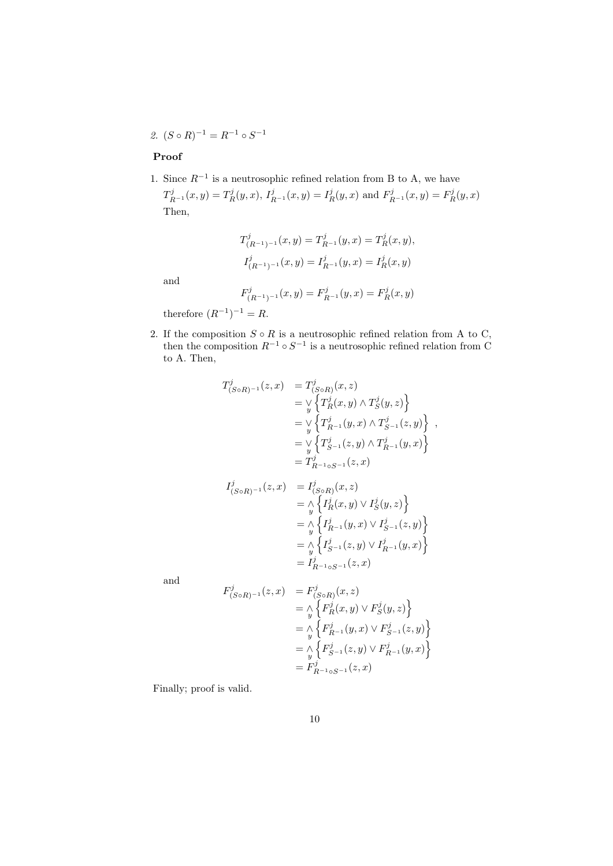2.  $(S \circ R)^{-1} = R^{-1} \circ S^{-1}$ 

### Proof

1. Since  $R^{-1}$  is a neutrosophic refined relation from B to A, we have

 $T_{R^{-1}}^j(x,y) = T_R^j(y,x), I_{R^{-1}}^j(x,y) = I_R^j(y,x)$  and  $F_{R^{-1}}^j(x,y) = F_R^j(y,x)$ Then,

$$
T^j_{(R^{-1})^{-1}}(x, y) = T^j_{R^{-1}}(y, x) = T^j_R(x, y),
$$
  

$$
I^j_{(R^{-1})^{-1}}(x, y) = I^j_{R^{-1}}(y, x) = I^j_R(x, y)
$$

and

$$
F^j_{(R^{-1})^{-1}}(x,y) = F^j_{R^{-1}}(y,x) = F^j_R(x,y)
$$

therefore  $(R^{-1})^{-1} = R$ .

2. If the composition  $S \circ R$  is a neutrosophic refined relation from A to C, then the composition  $R^{-1} \circ S^{-1}$  is a neutrosophic refined relation from C to A. Then,

$$
T_{(SoR)^{-1}}^{j}(z, x) = T_{(SoR)}^{j}(x, z)
$$
  
=  $\vee \{T_{R}^{j}(x, y) \wedge T_{S}^{j}(y, z)\}$   
=  $\vee \{T_{R^{-1}}^{j}(y, x) \wedge T_{S^{-1}}^{j}(z, y)\}$ ,  
=  $\vee \{T_{S^{-1}}^{j}(z, y) \wedge T_{R^{-1}}^{j}(y, x)\}$   
=  $T_{R^{-1} \circ S^{-1}}^{j}(z, x)$ 

$$
I_{(S \circ R)^{-1}}^j(z, x) = I_{(S \circ R)}^j(x, z)
$$
  
=  $\wedge \left\{ I_R^j(x, y) \vee I_S^j(y, z) \right\}$   
=  $\wedge \left\{ I_{R^{-1}}^j(y, x) \vee I_{S^{-1}}^j(z, y) \right\}$   
=  $\wedge \left\{ I_{S^{-1}}^j(z, y) \vee I_{R^{-1}}^j(y, x) \right\}$   
=  $I_{R^{-1} \circ S^{-1}}^j(z, x)$ 

and

$$
F_{(S \circ R)^{-1}}^{j}(z, x) = F_{(S \circ R)}^{j}(x, z)
$$
  
=  $\Lambda \left\{ F_{R}^{j}(x, y) \lor F_{S}^{j}(y, z) \right\}$   
=  $\Lambda \left\{ F_{R^{-1}}^{j}(y, x) \lor F_{S^{-1}}^{j}(z, y) \right\}$   
=  $\Lambda \left\{ F_{S^{-1}}^{j}(z, y) \lor F_{R^{-1}}^{j}(y, x) \right\}$   
=  $F_{R^{-1} \circ S^{-1}}^{j}(z, x)$ 

Finally; proof is valid.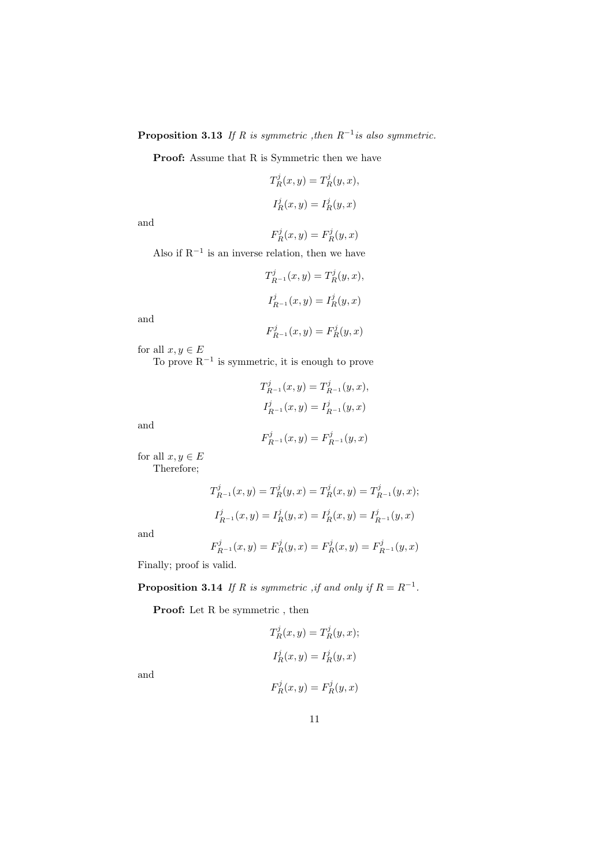**Proposition 3.13** If R is symmetric , then  $R^{-1}$  is also symmetric.

Proof: Assume that R is Symmetric then we have

$$
T_R^j(x, y) = T_R^j(y, x),
$$
  

$$
I_R^j(x, y) = I_R^j(y, x)
$$

and

$$
F_R^j(x, y) = F_R^j(y, x)
$$

Also if  $R^{-1}$  is an inverse relation, then we have

$$
T_{R^{-1}}^j(x, y) = T_R^j(y, x),
$$
  

$$
I_{R^{-1}}^j(x, y) = I_R^j(y, x)
$$

and

$$
F_{R^{-1}}^{j}(x, y) = F_{R}^{j}(y, x)
$$

for all  $x, y \in E$ 

To prove  $R^{-1}$  is symmetric, it is enough to prove

$$
T_{R^{-1}}^j(x,y) = T_{R^{-1}}^j(y,x),
$$
  

$$
I_{R^{-1}}^j(x,y) = I_{R^{-1}}^j(y,x)
$$

and

$$
F_{R^{-1}}^j(x, y) = F_{R^{-1}}^j(y, x)
$$

for all  $x, y \in E$ Therefore;

$$
T_{R^{-1}}^j(x, y) = T_R^j(y, x) = T_R^j(x, y) = T_{R^{-1}}^j(y, x);
$$
  

$$
I_{R^{-1}}^j(x, y) = I_R^j(y, x) = I_R^j(x, y) = I_{R^{-1}}^j(y, x)
$$

and

$$
F_{R^{-1}}^j(x,y) = F_R^j(y,x) = F_R^j(x,y) = F_{R^{-1}}^j(y,x)
$$

Finally; proof is valid.

**Proposition 3.14** If R is symmetric , if and only if  $R = R^{-1}$ .

Proof: Let R be symmetric, then

$$
T_R^j(x, y) = T_R^j(y, x);
$$
  
\n
$$
I_R^j(x, y) = I_R^j(y, x)
$$
  
\n
$$
F_R^j(x, y) = F_R^j(y, x)
$$

$$
F_R^j(x, y) = F_R^j(y, x)
$$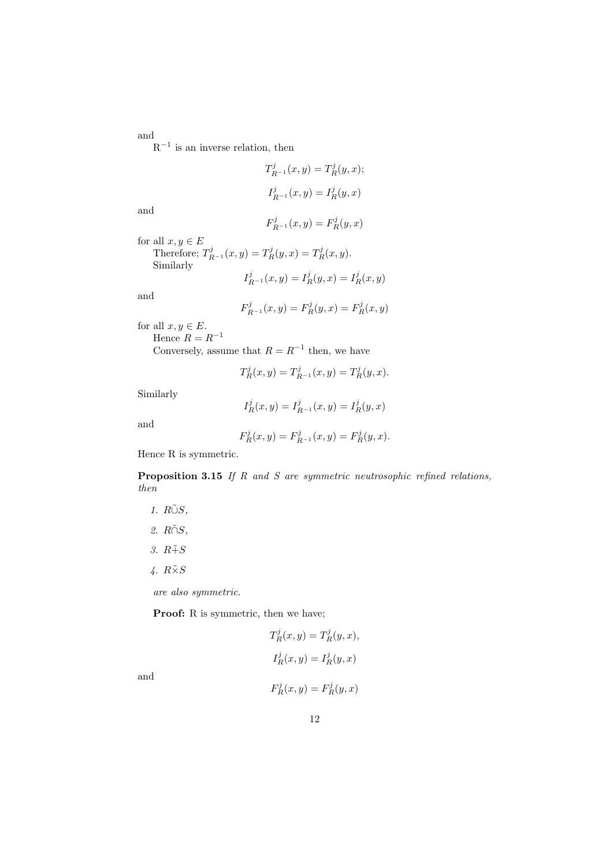and  $R^{-1}$  is an inverse relation, then

$$
T_{R^{-1}}^j(x, y) = T_R^j(y, x);
$$
  

$$
I_{R^{-1}}^j(x, y) = I_R^j(y, x)
$$

and

$$
F_{R^{-1}}^{j}(x, y) = F_{R}^{j}(y, x)
$$

for all  $x, y \in E$ Therefore;  $T_{R^{-1}}^j(x, y) = T_R^j(y, x) = T_R^j(x, y)$ . Similarly  $I^j$   $(x, y) = I^j$ 

$$
I_{R^{-1}}^j(x, y) = I_R^j(y, x) = I_R^j(x, y)
$$

and

$$
F_{R^{-1}}^{j}(x,y) = F_{R}^{j}(y,x) = F_{R}^{j}(x,y)
$$

for all  $x, y \in E$ . Hence  $R = R^{-1}$ 

Conversely, assume that  $R = R^{-1}$  then, we have

$$
T^j_R(x,y) = T^j_{R^{-1}}(x,y) = T^j_R(y,x).
$$

Similarly

$$
I_R^j(x, y) = I_{R^{-1}}^j(x, y) = I_R^j(y, x)
$$

and

$$
F_R^j(x, y) = F_{R^{-1}}^j(x, y) = F_R^j(y, x).
$$

Hence R is symmetric.

Proposition 3.15 If R and S are symmetric neutrosophic refined relations, then

1. RŨS,

- $2. R\tilde{\cap}S,$
- 3.  $R \tilde{+} S$
- 4.  $R\tilde{\times}S$

are also symmetric.

Proof: R is symmetric, then we have;

$$
T_R^j(x, y) = T_R^j(y, x),
$$
  
\n
$$
I_R^j(x, y) = I_R^j(y, x)
$$
  
\n
$$
F_R^j(x, y) = F_R^j(y, x)
$$

$$
F_R^j(x, y) = F_R^j(y, x)
$$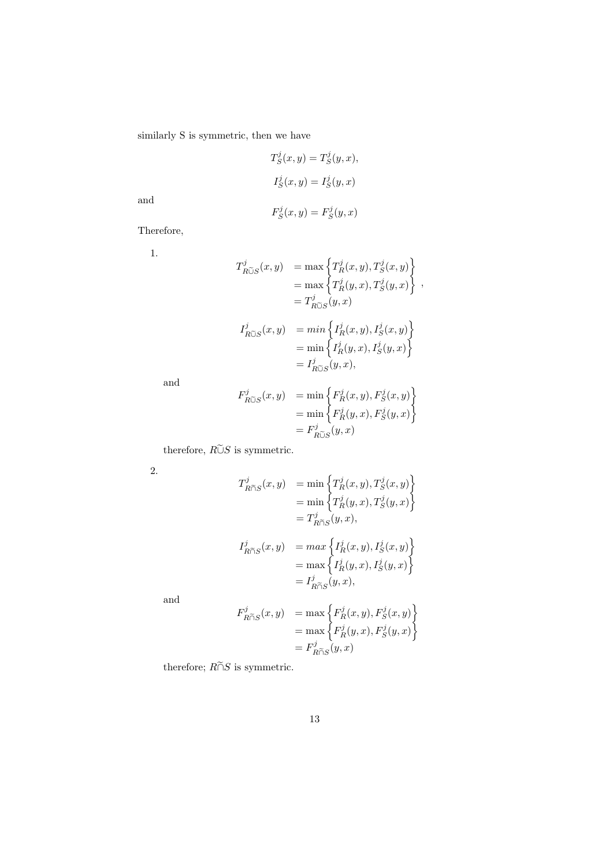similarly S is symmetric, then we have

$$
T_S^j(x, y) = T_S^j(y, x),
$$
  
\n
$$
I_S^j(x, y) = I_S^j(y, x)
$$

and

$$
F_S^j(x, y) = F_S^j(y, x)
$$

Therefore,

1.

$$
T_{R\tilde{\cup}S}^{j}(x,y) = \max \left\{ T_{R}^{j}(x,y), T_{S}^{j}(x,y) \right\}
$$
  
\n
$$
= \max \left\{ T_{R}^{j}(y,x), T_{S}^{j}(y,x) \right\},
$$
  
\n
$$
= T_{R\tilde{\cup}S}^{j}(y,x)
$$
  
\n
$$
I_{R\tilde{\cup}S}^{j}(x,y) = \min \left\{ I_{R}^{j}(x,y), I_{S}^{j}(x,y) \right\}
$$
  
\n
$$
= \min \left\{ I_{R}^{j}(y,x), I_{S}^{j}(y,x) \right\}
$$
  
\n
$$
= I_{R\tilde{\cup}S}^{j}(y,x),
$$
  
\n
$$
F_{R\tilde{\cup}S}^{j}(x,y) = \min \left\{ F_{R}^{j}(x,y), F_{S}^{j}(x,y) \right\}
$$
  
\n
$$
= \min \left\{ F_{R}^{j}(y,x), F_{S}^{j}(y,x) \right\}
$$

and

$$
F_{R\tilde{\cup}S}^{j}(x, y) = \min \left\{ F_R^{j}(x, y), F_S^{j}(x, y) \right\}
$$
  
= 
$$
\min \left\{ F_R^{j}(y, x), F_S^{j}(y, x) \right\}
$$
  
= 
$$
F_{R\tilde{\cup}S}^{j}(y, x)
$$

therefore,  $R\widetilde{\cup} S$  is symmetric.

2.

$$
T_{R\widetilde{\cap}S}^{j}(x,y) = \min \left\{ T_{R}^{j}(x,y), T_{S}^{j}(x,y) \right\}
$$
  
\n
$$
= \min \left\{ T_{R}^{j}(y,x), T_{S}^{j}(y,x) \right\}
$$
  
\n
$$
= T_{R\widetilde{\cap}S}^{j}(y,x),
$$
  
\n
$$
I_{R\widetilde{\cap}S}^{j}(x,y) = \max \left\{ I_{R}^{j}(x,y), I_{S}^{j}(x,y) \right\}
$$
  
\n
$$
= \max \left\{ I_{R}^{j}(y,x), I_{S}^{j}(y,x) \right\}
$$
  
\n
$$
= I_{R\widetilde{\cap}S}^{j}(y,x),
$$

and

$$
\begin{array}{ll} F_{R\widetilde{\cap}S}^j(x,y) & =\max\left\{F_R^j(x,y),F_S^j(x,y)\right\}\\ & =\max\left\{F_R^j(y,x),F_S^j(y,x)\right\}\\ & =F_{R\widetilde{\cap}S}^j(y,x) \end{array}
$$

therefore;  $R\widetilde{\cap}S$  is symmetric.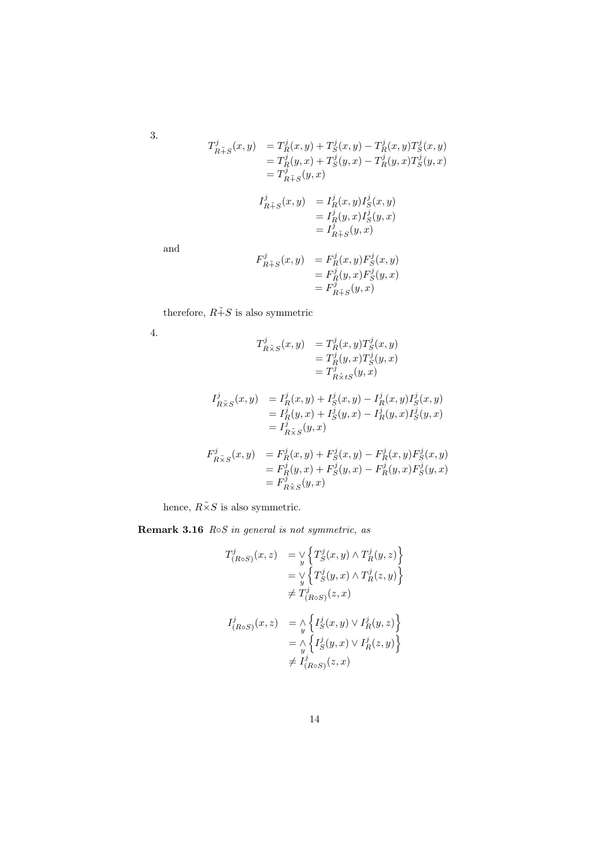3.

$$
T_{R\tilde{+}S}^j(x, y) = T_R^j(x, y) + T_S^j(x, y) - T_R^j(x, y) T_S^j(x, y)
$$
  
\n
$$
= T_R^j(y, x) + T_S^j(y, x) - T_R^j(y, x) T_S^j(y, x)
$$
  
\n
$$
= T_{R\tilde{+}S}^j(y, x)
$$
  
\n
$$
I_{R\tilde{+}S}^j(x, y) = I_R^j(x, y) I_S^j(x, y)
$$
  
\n
$$
= I_R^j(y, x) I_S^j(y, x)
$$

and

$$
F_{R\tilde{+}S}^j(x,y) = F_R^j(x,y)F_S^j(x,y)
$$
  
= 
$$
F_R^j(y,x)F_S^j(y,x)
$$
  
= 
$$
F_{R\tilde{+}S}^j(y,x)
$$

 $= I_{R\tilde{+}S}^j(y,\tilde{x})$ 

therefore,  $R\tilde{+}S$  is also symmetric

4.

$$
T_{R\tilde{\times}S}^j(x,y) = T_R^j(x,y)T_S^j(x,y)
$$
  
=  $T_R^j(y,x)T_S^j(y,x)$   
=  $T_{R\tilde{\times}tS}^j(y,x)$ 

$$
I_{R\tilde{\times}S}^{j}(x,y) = I_{R}^{j}(x,y) + I_{S}^{j}(x,y) - I_{R}^{j}(x,y)I_{S}^{j}(x,y)
$$
  
=  $I_{R}^{j}(y,x) + I_{S}^{j}(y,x) - I_{R}^{j}(y,x)I_{S}^{j}(y,x)$   
=  $I_{R\tilde{\times}S}^{j}(y,x)$ 

$$
F_{R\tilde{\times}S}^{j}(x,y) = F_{R}^{j}(x,y) + F_{S}^{j}(x,y) - F_{R}^{j}(x,y)F_{S}^{j}(x,y) = F_{R}^{j}(y,x) + F_{S}^{j}(y,x) - F_{R}^{j}(y,x)F_{S}^{j}(y,x) = F_{R\tilde{\times}S}^{j}(y,x)
$$

hence,  $R\tilde{\times}S$  is also symmetric.

Remark 3.16  $R \circ S$  in general is not symmetric, as

$$
T^{j}_{(R \circ S)}(x, z) = \mathop{\vee}\limits_{y} \left\{ T^{j}_{S}(x, y) \land T^{j}_{R}(y, z) \right\}
$$
  
\n
$$
= \mathop{\vee}\limits_{y} \left\{ T^{j}_{S}(y, x) \land T^{j}_{R}(z, y) \right\}
$$
  
\n
$$
\neq T^{j}_{(R \circ S)}(z, x)
$$
  
\n
$$
I^{j}_{(R \circ S)}(x, z) = \mathop{\wedge}\limits_{y} \left\{ I^{j}_{S}(x, y) \lor I^{j}_{R}(y, z) \right\}
$$
  
\n
$$
= \mathop{\wedge}\limits_{y} \left\{ I^{j}_{S}(y, x) \lor I^{j}_{R}(z, y) \right\}
$$
  
\n
$$
\neq I^{j}_{(R \circ S)}(z, x)
$$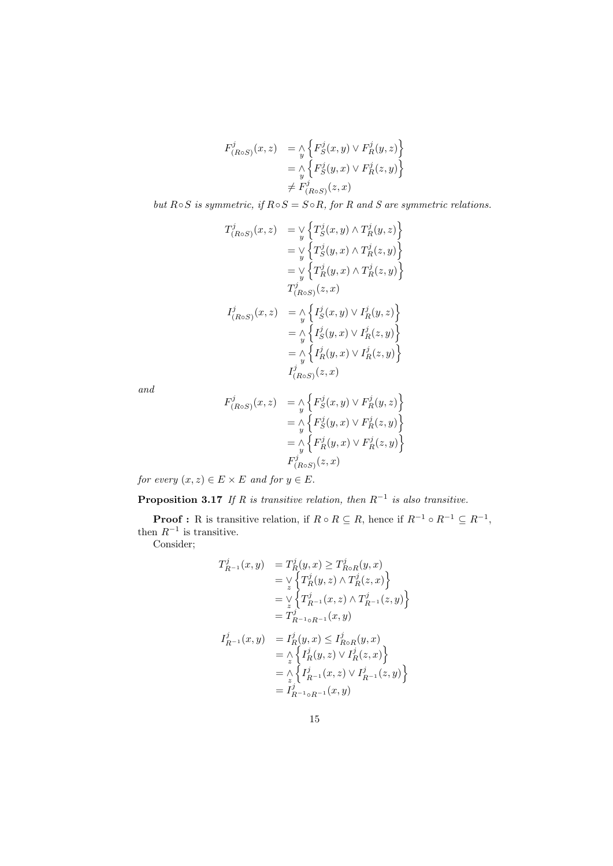$$
F^j_{(R \circ S)}(x, z) = \underset{y}{\wedge} \Big\{ F^j_S(x, y) \vee F^j_R(y, z) \Big\}
$$
  
=  $\underset{y}{\wedge} \Big\{ F^j_S(y, x) \vee F^j_R(z, y) \Big\}$   

$$
\neq F^j_{(R \circ S)}(z, x)
$$

but  $R \circ S$  is symmetric, if  $R \circ S = S \circ R$ , for R and S are symmetric relations.

$$
T_{(R \circ S)}^j(x, z) = \mathop{\vee}\limits_{y} \left\{ T_S^j(x, y) \land T_R^j(y, z) \right\}
$$
  
\n
$$
= \mathop{\vee}\limits_{y} \left\{ T_S^j(y, x) \land T_R^j(z, y) \right\}
$$
  
\n
$$
= \mathop{\vee}\limits_{y} \left\{ T_R^j(y, x) \land T_R^j(z, y) \right\}
$$
  
\n
$$
T_{(R \circ S)}^j(z, x)
$$
  
\n
$$
I_{(R \circ S)}^j(x, z) = \mathop{\wedge}\limits_{y} \left\{ I_S^j(x, y) \lor I_R^j(y, z) \right\}
$$
  
\n
$$
= \mathop{\wedge}\limits_{y} \left\{ I_S^j(y, x) \lor I_R^j(z, y) \right\}
$$
  
\n
$$
= \mathop{\wedge}\limits_{y} \left\{ I_R^j(y, x) \lor I_R^j(z, y) \right\}
$$
  
\n
$$
I_{(R \circ S)}^j(z, x)
$$

and

$$
F^j_{(R \circ S)}(x, z) = \underset{y}{\wedge} \Big\{ F^j_S(x, y) \vee F^j_R(y, z) \Big\}
$$
  
=  $\underset{y}{\wedge} \Big\{ F^j_S(y, x) \vee F^j_R(z, y) \Big\}$   
=  $\underset{y}{\wedge} \Big\{ F^j_R(y, x) \vee F^j_R(z, y) \Big\}$   

$$
F^j_{(R \circ S)}(z, x)
$$

for every  $(x, z) \in E \times E$  and for  $y \in E$ .

**Proposition 3.17** If R is transitive relation, then  $R^{-1}$  is also transitive.

**Proof :** R is transitive relation, if  $R \circ R \subseteq R$ , hence if  $R^{-1} \circ R^{-1} \subseteq R^{-1}$ , then  $R^{-1}$  is transitive.

Consider;

$$
T_{R^{-1}}^j(x, y) = T_R^j(y, x) \ge T_{R \circ R}^j(y, x)
$$
  
\n
$$
= \vee \{ T_R^j(y, z) \wedge T_R^j(z, x) \}
$$
  
\n
$$
= \vee \{ T_{R^{-1}}^j(x, z) \wedge T_{R^{-1}}^j(z, y) \}
$$
  
\n
$$
= T_{R^{-1} \circ R^{-1}}^j(x, y)
$$
  
\n
$$
I_{R^{-1}}^j(x, y) = I_R^j(y, x) \le I_{R \circ R}^j(y, x)
$$
  
\n
$$
= \wedge \{ I_R^j(y, z) \vee I_R^j(z, x) \}
$$
  
\n
$$
= \wedge \{ I_{R^{-1}}^j(x, z) \vee I_{R^{-1}}^j(z, y) \}
$$
  
\n
$$
= I_{R^{-1} \circ R^{-1}}^j(x, y)
$$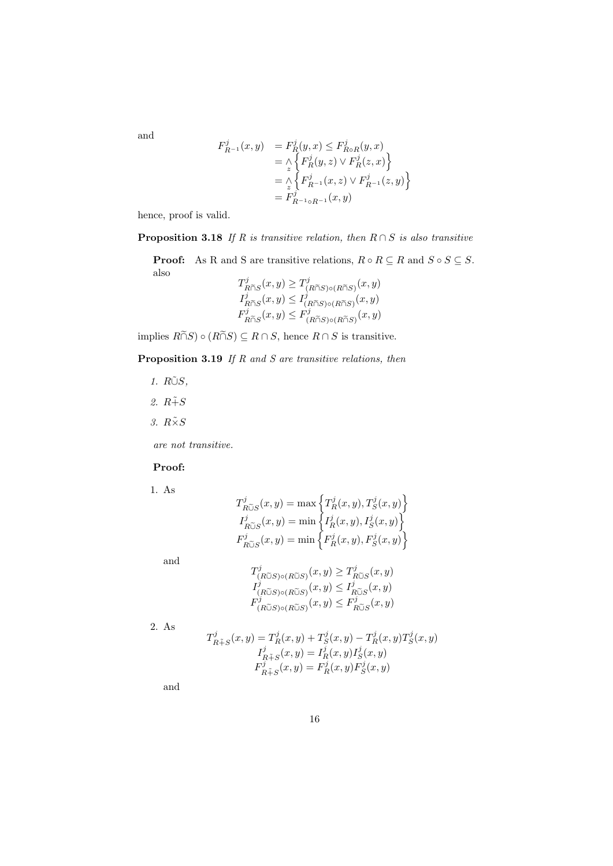and

$$
F_{R^{-1}}^j(x, y) = F_R^j(y, x) \leq F_{R \circ R}^j(y, x)
$$
  
=  $\land \left\{ F_R^j(y, z) \lor F_R^j(z, x) \right\}$   
=  $\land \left\{ F_{R^{-1}}^j(x, z) \lor F_{R^{-1}}^j(z, y) \right\}$   
=  $F_{R^{-1} \circ R^{-1}}^j(x, y)$ 

j

hence, proof is valid.

**Proposition 3.18** If R is transitive relation, then  $R \cap S$  is also transitive

**Proof:** As R and S are transitive relations,  $R \circ R \subseteq R$  and  $S \circ S \subseteq S$ . also  $\sqrt{2}$  $\overline{a}$  $(x, y)$ 

$$
T_{R\widetilde{\cap}S}^j(x,y) \geq T_{(R\widetilde{\cap}S)\circ(R\widetilde{\cap}S)}^j(x,y)
$$
  
\n
$$
T_{R\widetilde{\cap}S}^j(x,y) \leq T_{(R\widetilde{\cap}S)\circ(R\widetilde{\cap}S)}^j(x,y)
$$
  
\n
$$
F_{R\widetilde{\cap}S}^j(x,y) \leq F_{(R\widetilde{\cap}S)\circ(R\widetilde{\cap}S)}^j(x,y)
$$

implies  $R\widetilde{\cap}S) \circ (R\widetilde{\cap}S) \subseteq R \cap S$ , hence  $R \cap S$  is transitive.

**Proposition 3.19** If  $R$  and  $S$  are transitive relations, then

 $\ddot{\phantom{a}}$ 

- 1.  $R\tilde{\cup}S$ ,
- 2.  $R \tilde{+} S$
- 3.  $R\tilde{\times}S$

are not transitive.

#### Proof:

1. As

$$
\label{eq:1} \begin{array}{l} T_{R\widetilde{\cup}S}^{j}(x,y)=\max\left\{T_{R}^{j}(x,y),T_{S}^{j}(x,y)\right\} \\ I_{R\widetilde{\cup}S}^{j}(x,y)=\min\left\{I_{R}^{j}(x,y),I_{S}^{j}(x,y)\right\} \\ F_{R\widetilde{\cup}S}^{j}(x,y)=\min\left\{F_{R}^{j}(x,y),F_{S}^{j}(x,y)\right\} \end{array}
$$

and

$$
T^j_{(R\widetilde{\cup}S)\circ(R\widetilde{\cup}S)}(x,y) \geq T^j_{R\widetilde{\cup}S}(x,y)
$$
  

$$
T^j_{(R\widetilde{\cup}S)\circ(R\widetilde{\cup}S)}(x,y) \leq T^j_{R\widetilde{\cup}S}(x,y)
$$
  

$$
F^j_{(R\widetilde{\cup}S)\circ(R\widetilde{\cup}S)}(x,y) \leq F^j_{R\widetilde{\cup}S}(x,y)
$$

2. As

$$
T_{R\tilde{+}S}^{j}(x,y) = T_{R}^{j}(x,y) + T_{S}^{j}(x,y) - T_{R}^{j}(x,y)T_{S}^{j}(x,y)
$$
  
\n
$$
I_{R\tilde{+}S}^{j}(x,y) = I_{R}^{j}(x,y)I_{S}^{j}(x,y)
$$
  
\n
$$
F_{R\tilde{+}S}^{j}(x,y) = F_{R}^{j}(x,y)F_{S}^{j}(x,y)
$$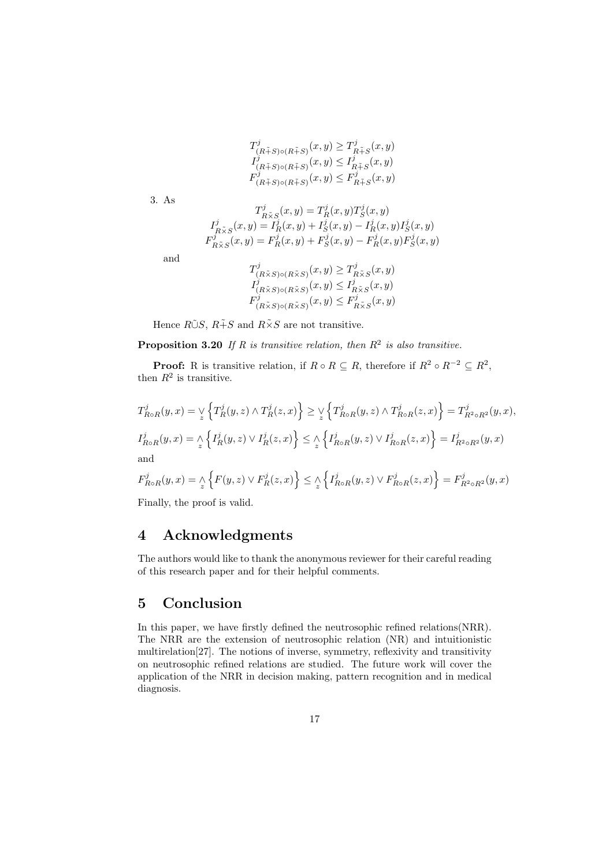$$
\begin{array}{l} T^j_{(R\tilde{+}S)\circ (R\tilde{+}S)}(x,y)\geq T^j_{R\tilde{+}S}(x,y)\\ I^j_{(R\tilde{+}S)\circ (R\tilde{+}S)}(x,y)\leq I^j_{R\tilde{+}S}(x,y)\\ F^j_{(R\tilde{+}S)\circ (R\tilde{+}S)}(x,y)\leq F^j_{R\tilde{+}S}(x,y) \end{array}
$$

3. As

$$
T^j_{R\tilde{\times}S}(x,y)=T^j_R(x,y)T^j_S(x,y)\\ I^j_{R\tilde{\times}S}(x,y)=I^j_R(x,y)+I^j_S(x,y)-I^j_R(x,y)I^j_S(x,y)\\ F^j_{R\tilde{\times}S}(x,y)=F^j_R(x,y)+F^j_S(x,y)-F^j_R(x,y)F^j_S(x,y)
$$

and

$$
T^j_{(R\tilde{\times}S)\circ(R\tilde{\times}S)}(x,y) \geq T^j_{R\tilde{\times}S}(x,y)
$$
  
\n
$$
I^j_{(R\tilde{\times}S)\circ(R\tilde{\times}S)}(x,y) \leq I^j_{R\tilde{\times}S}(x,y)
$$
  
\n
$$
F^j_{(R\tilde{\times}S)\circ(R\tilde{\times}S)}(x,y) \leq F^j_{R\tilde{\times}S}(x,y)
$$

Hence  $R\tilde{\cup}S$ ,  $R\tilde{+}S$  and  $R\tilde{\times}S$  are not transitive.

**Proposition 3.20** If R is transitive relation, then  $R^2$  is also transitive.

**Proof:** R is transitive relation, if  $R \circ R \subseteq R$ , therefore if  $R^2 \circ R^{-2} \subseteq R^2$ , then  $R^2$  is transitive.

$$
T_{R\circ R}^j(y,x) = \mathop{\vee}\limits_x \Big\{ T_R^j(y,z) \wedge T_R^j(z,x) \Big\} \geq \mathop{\vee}\limits_x \Big\{ T_{R\circ R}^j(y,z) \wedge T_{R\circ R}^j(z,x) \Big\} = T_{R^2 \circ R^2}^j(y,x),
$$
  

$$
I_{R\circ R}^j(y,x) = \mathop{\wedge}\limits_x \Big\{ I_R^j(y,z) \vee I_R^j(z,x) \Big\} \leq \mathop{\wedge}\limits_x \Big\{ I_{R\circ R}^j(y,z) \vee I_{R\circ R}^j(z,x) \Big\} = I_{R^2 \circ R^2}^j(y,x)
$$
 and

$$
F_{RoR}^j(y,x)=\underset{z}{\wedge}\Big\{F(y,z)\vee F_R^j(z,x)\Big\}\leq \underset{z}{\wedge}\Big\{I_{RoR}^j(y,z)\vee F_{RoR}^j(z,x)\Big\}=F_{R^2\circ R^2}^j(y,x)
$$

Finally, the proof is valid.

## 4 Acknowledgments

The authors would like to thank the anonymous reviewer for their careful reading of this research paper and for their helpful comments.

## 5 Conclusion

In this paper, we have firstly defined the neutrosophic refined relations(NRR). The NRR are the extension of neutrosophic relation (NR) and intuitionistic multirelation[27]. The notions of inverse, symmetry, reflexivity and transitivity on neutrosophic refined relations are studied. The future work will cover the application of the NRR in decision making, pattern recognition and in medical diagnosis.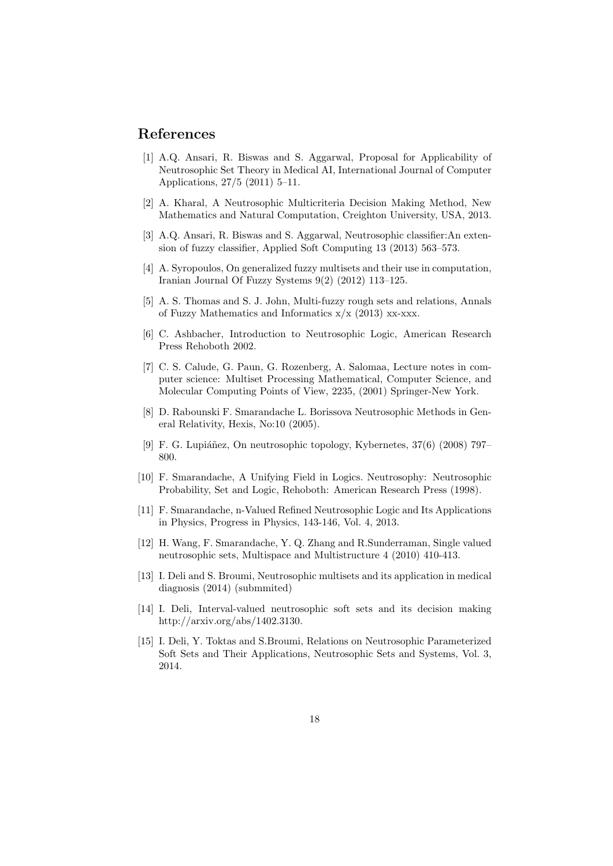## References

- [1] A.Q. Ansari, R. Biswas and S. Aggarwal, Proposal for Applicability of Neutrosophic Set Theory in Medical AI, International Journal of Computer Applications, 27/5 (2011) 5–11.
- [2] A. Kharal, A Neutrosophic Multicriteria Decision Making Method, New Mathematics and Natural Computation, Creighton University, USA, 2013.
- [3] A.Q. Ansari, R. Biswas and S. Aggarwal, Neutrosophic classifier:An extension of fuzzy classifier, Applied Soft Computing 13 (2013) 563–573.
- [4] A. Syropoulos, On generalized fuzzy multisets and their use in computation, Iranian Journal Of Fuzzy Systems 9(2) (2012) 113–125.
- [5] A. S. Thomas and S. J. John, Multi-fuzzy rough sets and relations, Annals of Fuzzy Mathematics and Informatics  $x/x$  (2013) xx-xxx.
- [6] C. Ashbacher, Introduction to Neutrosophic Logic, American Research Press Rehoboth 2002.
- [7] C. S. Calude, G. Paun, G. Rozenberg, A. Salomaa, Lecture notes in computer science: Multiset Processing Mathematical, Computer Science, and Molecular Computing Points of View, 2235, (2001) Springer-New York.
- [8] D. Rabounski F. Smarandache L. Borissova Neutrosophic Methods in General Relativity, Hexis, No:10 (2005).
- [9] F. G. Lupiáñez, On neutrosophic topology, Kybernetes,  $37(6)$  (2008) 797– 800.
- [10] F. Smarandache, A Unifying Field in Logics. Neutrosophy: Neutrosophic Probability, Set and Logic, Rehoboth: American Research Press (1998).
- [11] F. Smarandache, n-Valued Refined Neutrosophic Logic and Its Applications in Physics, Progress in Physics, 143-146, Vol. 4, 2013.
- [12] H. Wang, F. Smarandache, Y. Q. Zhang and R.Sunderraman, Single valued neutrosophic sets, Multispace and Multistructure 4 (2010) 410-413.
- [13] I. Deli and S. Broumi, Neutrosophic multisets and its application in medical diagnosis (2014) (submmited)
- [14] I. Deli, Interval-valued neutrosophic soft sets and its decision making http://arxiv.org/abs/1402.3130.
- [15] I. Deli, Y. Toktas and S.Broumi, Relations on Neutrosophic Parameterized Soft Sets and Their Applications, Neutrosophic Sets and Systems, Vol. 3, 2014.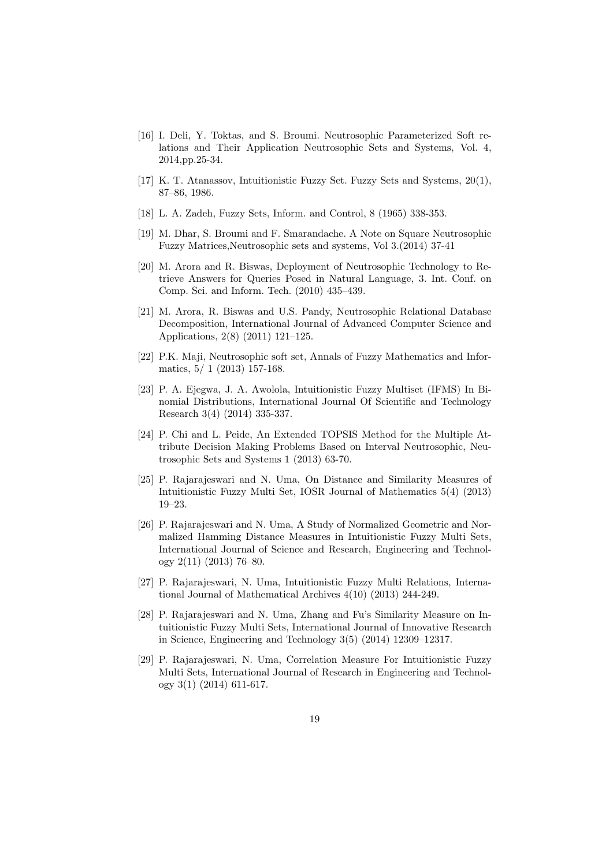- [16] I. Deli, Y. Toktas, and S. Broumi. Neutrosophic Parameterized Soft relations and Their Application Neutrosophic Sets and Systems, Vol. 4, 2014,pp.25-34.
- [17] K. T. Atanassov, Intuitionistic Fuzzy Set. Fuzzy Sets and Systems, 20(1), 87–86, 1986.
- [18] L. A. Zadeh, Fuzzy Sets, Inform. and Control, 8 (1965) 338-353.
- [19] M. Dhar, S. Broumi and F. Smarandache. A Note on Square Neutrosophic Fuzzy Matrices,Neutrosophic sets and systems, Vol 3.(2014) 37-41
- [20] M. Arora and R. Biswas, Deployment of Neutrosophic Technology to Retrieve Answers for Queries Posed in Natural Language, 3. Int. Conf. on Comp. Sci. and Inform. Tech. (2010) 435–439.
- [21] M. Arora, R. Biswas and U.S. Pandy, Neutrosophic Relational Database Decomposition, International Journal of Advanced Computer Science and Applications, 2(8) (2011) 121–125.
- [22] P.K. Maji, Neutrosophic soft set, Annals of Fuzzy Mathematics and Informatics, 5/ 1 (2013) 157-168.
- [23] P. A. Ejegwa, J. A. Awolola, Intuitionistic Fuzzy Multiset (IFMS) In Binomial Distributions, International Journal Of Scientific and Technology Research 3(4) (2014) 335-337.
- [24] P. Chi and L. Peide, An Extended TOPSIS Method for the Multiple Attribute Decision Making Problems Based on Interval Neutrosophic, Neutrosophic Sets and Systems 1 (2013) 63-70.
- [25] P. Rajarajeswari and N. Uma, On Distance and Similarity Measures of Intuitionistic Fuzzy Multi Set, IOSR Journal of Mathematics 5(4) (2013) 19–23.
- [26] P. Rajarajeswari and N. Uma, A Study of Normalized Geometric and Normalized Hamming Distance Measures in Intuitionistic Fuzzy Multi Sets, International Journal of Science and Research, Engineering and Technology 2(11) (2013) 76–80.
- [27] P. Rajarajeswari, N. Uma, Intuitionistic Fuzzy Multi Relations, International Journal of Mathematical Archives 4(10) (2013) 244-249.
- [28] P. Rajarajeswari and N. Uma, Zhang and Fu's Similarity Measure on Intuitionistic Fuzzy Multi Sets, International Journal of Innovative Research in Science, Engineering and Technology 3(5) (2014) 12309–12317.
- [29] P. Rajarajeswari, N. Uma, Correlation Measure For Intuitionistic Fuzzy Multi Sets, International Journal of Research in Engineering and Technology 3(1) (2014) 611-617.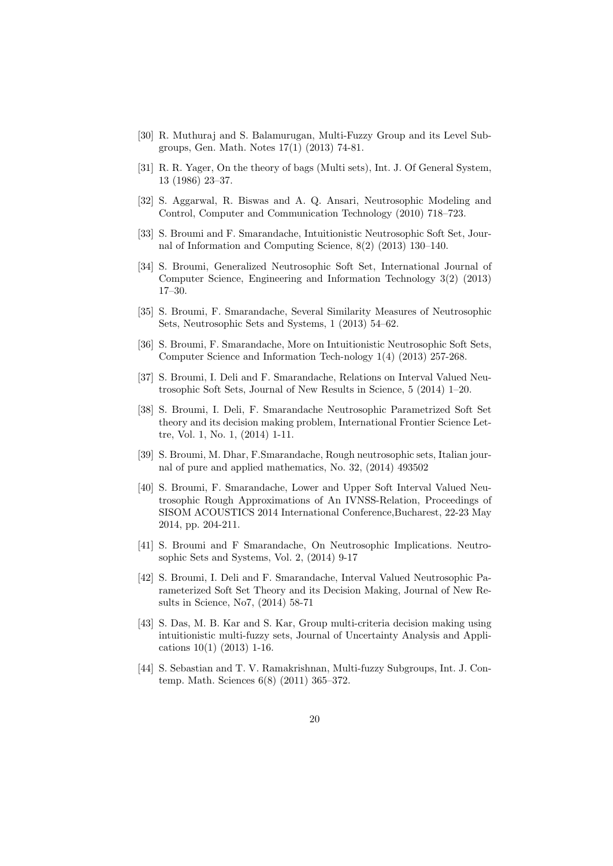- [30] R. Muthuraj and S. Balamurugan, Multi-Fuzzy Group and its Level Subgroups, Gen. Math. Notes 17(1) (2013) 74-81.
- [31] R. R. Yager, On the theory of bags (Multi sets), Int. J. Of General System, 13 (1986) 23–37.
- [32] S. Aggarwal, R. Biswas and A. Q. Ansari, Neutrosophic Modeling and Control, Computer and Communication Technology (2010) 718–723.
- [33] S. Broumi and F. Smarandache, Intuitionistic Neutrosophic Soft Set, Journal of Information and Computing Science, 8(2) (2013) 130–140.
- [34] S. Broumi, Generalized Neutrosophic Soft Set, International Journal of Computer Science, Engineering and Information Technology 3(2) (2013) 17–30.
- [35] S. Broumi, F. Smarandache, Several Similarity Measures of Neutrosophic Sets, Neutrosophic Sets and Systems, 1 (2013) 54–62.
- [36] S. Broumi, F. Smarandache, More on Intuitionistic Neutrosophic Soft Sets, Computer Science and Information Tech-nology 1(4) (2013) 257-268.
- [37] S. Broumi, I. Deli and F. Smarandache, Relations on Interval Valued Neutrosophic Soft Sets, Journal of New Results in Science, 5 (2014) 1–20.
- [38] S. Broumi, I. Deli, F. Smarandache Neutrosophic Parametrized Soft Set theory and its decision making problem, International Frontier Science Lettre, Vol. 1, No. 1, (2014) 1-11.
- [39] S. Broumi, M. Dhar, F.Smarandache, Rough neutrosophic sets, Italian journal of pure and applied mathematics, No. 32, (2014) 493502
- [40] S. Broumi, F. Smarandache, Lower and Upper Soft Interval Valued Neutrosophic Rough Approximations of An IVNSS-Relation, Proceedings of SISOM ACOUSTICS 2014 International Conference,Bucharest, 22-23 May 2014, pp. 204-211.
- [41] S. Broumi and F Smarandache, On Neutrosophic Implications. Neutrosophic Sets and Systems, Vol. 2, (2014) 9-17
- [42] S. Broumi, I. Deli and F. Smarandache, Interval Valued Neutrosophic Parameterized Soft Set Theory and its Decision Making, Journal of New Results in Science, No7, (2014) 58-71
- [43] S. Das, M. B. Kar and S. Kar, Group multi-criteria decision making using intuitionistic multi-fuzzy sets, Journal of Uncertainty Analysis and Applications 10(1) (2013) 1-16.
- [44] S. Sebastian and T. V. Ramakrishnan, Multi-fuzzy Subgroups, Int. J. Contemp. Math. Sciences 6(8) (2011) 365–372.